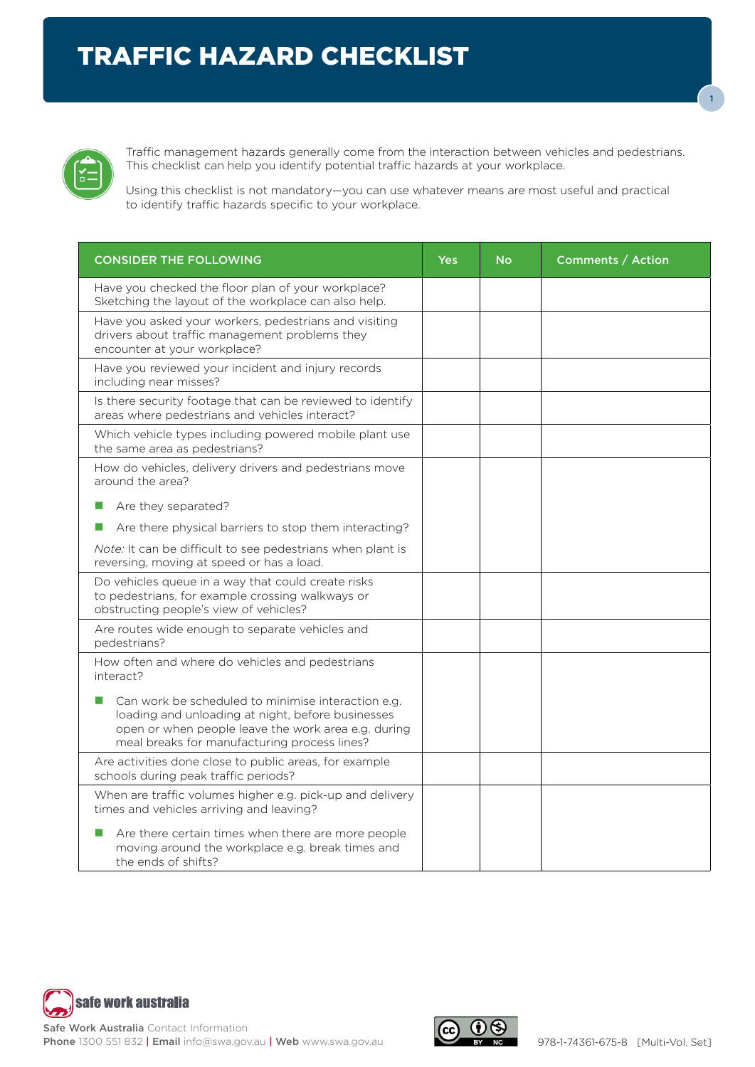## TRAFFIC HAZARD CHECKLIST



Traffic management hazards generally come from the interaction between vehicles and pedestrians. This checklist can help you identify potential traffic hazards at your workplace.

Using this checklist is not mandatory—you can use whatever means are most useful and practical to identify traffic hazards specific to your workplace.

| <b>CONSIDER THE FOLLOWING</b>                                                                                                                                                                                       | <b>Yes</b> | <b>No</b> | <b>Comments / Action</b> |
|---------------------------------------------------------------------------------------------------------------------------------------------------------------------------------------------------------------------|------------|-----------|--------------------------|
| Have you checked the floor plan of your workplace?<br>Sketching the layout of the workplace can also help.                                                                                                          |            |           |                          |
| Have you asked your workers, pedestrians and visiting<br>drivers about traffic management problems they<br>encounter at your workplace?                                                                             |            |           |                          |
| Have you reviewed your incident and injury records<br>including near misses?                                                                                                                                        |            |           |                          |
| Is there security footage that can be reviewed to identify<br>areas where pedestrians and vehicles interact?                                                                                                        |            |           |                          |
| Which vehicle types including powered mobile plant use<br>the same area as pedestrians?                                                                                                                             |            |           |                          |
| How do vehicles, delivery drivers and pedestrians move<br>around the area?                                                                                                                                          |            |           |                          |
| Are they separated?<br>ш                                                                                                                                                                                            |            |           |                          |
| Are there physical barriers to stop them interacting?<br>ш                                                                                                                                                          |            |           |                          |
| Note: It can be difficult to see pedestrians when plant is<br>reversing, moving at speed or has a load.                                                                                                             |            |           |                          |
| Do vehicles queue in a way that could create risks<br>to pedestrians, for example crossing walkways or<br>obstructing people's view of vehicles?                                                                    |            |           |                          |
| Are routes wide enough to separate vehicles and<br>pedestrians?                                                                                                                                                     |            |           |                          |
| How often and where do vehicles and pedestrians<br>interact?                                                                                                                                                        |            |           |                          |
| Can work be scheduled to minimise interaction e.g.<br>ш<br>loading and unloading at night, before businesses<br>open or when people leave the work area e.g. during<br>meal breaks for manufacturing process lines? |            |           |                          |
| Are activities done close to public areas, for example<br>schools during peak traffic periods?                                                                                                                      |            |           |                          |
| When are traffic volumes higher e.g. pick-up and delivery<br>times and vehicles arriving and leaving?                                                                                                               |            |           |                          |
| Are there certain times when there are more people<br>moving around the workplace e.g. break times and<br>the ends of shifts?                                                                                       |            |           |                          |





1